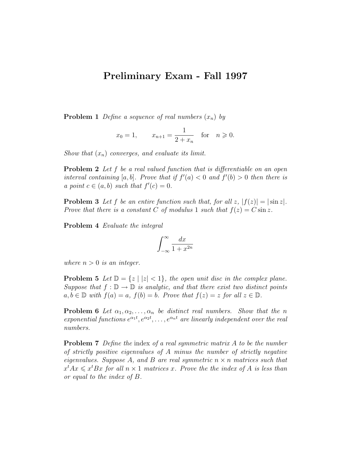## Preliminary Exam - Fall 1997

**Problem 1** Define a sequence of real numbers  $(x_n)$  by

$$
x_0 = 1
$$
,  $x_{n+1} = \frac{1}{2 + x_n}$  for  $n \ge 0$ .

Show that  $(x_n)$  converges, and evaluate its limit.

**Problem 2** Let f be a real valued function that is differentiable on an open interval containing [a, b]. Prove that if  $f'(a) < 0$  and  $f'(b) > 0$  then there is a point  $c \in (a, b)$  such that  $f'(c) = 0$ .

**Problem 3** Let f be an entire function such that, for all  $z$ ,  $|f(z)| = |\sin z|$ . Prove that there is a constant C of modulus 1 such that  $f(z) = C \sin z$ .

Problem 4 Evaluate the integral

$$
\int_{-\infty}^{\infty}\frac{dx}{1+x^{2n}}
$$

where  $n > 0$  is an integer.

**Problem 5** Let  $\mathbb{D} = \{z \mid |z| < 1\}$ , the open unit disc in the complex plane. Suppose that  $f : \mathbb{D} \to \mathbb{D}$  is analytic, and that there exist two distinct points  $a, b \in \mathbb{D}$  with  $f(a) = a$ ,  $f(b) = b$ . Prove that  $f(z) = z$  for all  $z \in \mathbb{D}$ .

**Problem 6** Let  $\alpha_1, \alpha_2, \ldots, \alpha_n$  be distinct real numbers. Show that the n exponential functions  $e^{\alpha_1 t}, e^{\alpha_2 t}, \ldots, e^{\alpha_n t}$  are linearly independent over the real numbers.

**Problem 7** Define the index of a real symmetric matrix A to be the number of strictly positive eigenvalues of A minus the number of strictly negative eigenvalues. Suppose A, and B are real symmetric  $n \times n$  matrices such that  $x^tAx \leqslant x^tBx$  for all  $n \times 1$  matrices x. Prove the the index of A is less than or equal to the index of B.